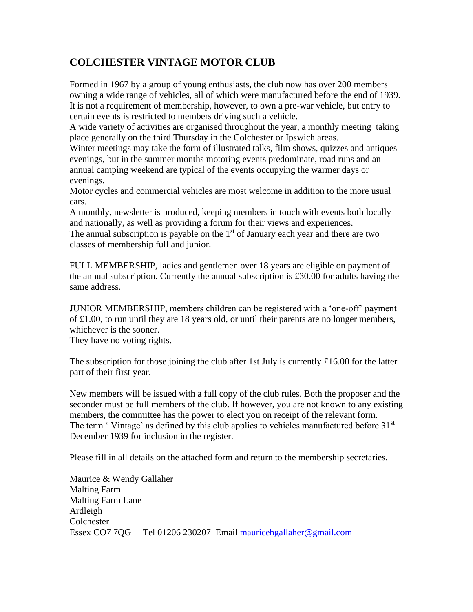## **COLCHESTER VINTAGE MOTOR CLUB**

Formed in 1967 by a group of young enthusiasts, the club now has over 200 members owning a wide range of vehicles, all of which were manufactured before the end of 1939. It is not a requirement of membership, however, to own a pre-war vehicle, but entry to certain events is restricted to members driving such a vehicle.

A wide variety of activities are organised throughout the year, a monthly meeting taking place generally on the third Thursday in the Colchester or Ipswich areas.

Winter meetings may take the form of illustrated talks, film shows, quizzes and antiques evenings, but in the summer months motoring events predominate, road runs and an annual camping weekend are typical of the events occupying the warmer days or evenings.

Motor cycles and commercial vehicles are most welcome in addition to the more usual cars.

A monthly, newsletter is produced, keeping members in touch with events both locally and nationally, as well as providing a forum for their views and experiences. The annual subscription is payable on the  $1<sup>st</sup>$  of January each year and there are two classes of membership full and junior.

FULL MEMBERSHIP, ladies and gentlemen over 18 years are eligible on payment of the annual subscription. Currently the annual subscription is £30.00 for adults having the same address.

JUNIOR MEMBERSHIP, members children can be registered with a 'one-off' payment of £1.00, to run until they are 18 years old, or until their parents are no longer members, whichever is the sooner.

They have no voting rights.

The subscription for those joining the club after 1st July is currently £16.00 for the latter part of their first year.

New members will be issued with a full copy of the club rules. Both the proposer and the seconder must be full members of the club. If however, you are not known to any existing members, the committee has the power to elect you on receipt of the relevant form. The term ' Vintage' as defined by this club applies to vehicles manufactured before  $31<sup>st</sup>$ December 1939 for inclusion in the register.

Please fill in all details on the attached form and return to the membership secretaries.

Maurice & Wendy Gallaher Malting Farm Malting Farm Lane Ardleigh **Colchester** Essex CO7 7QG Tel 01206 230207 Email [mauricehgallaher@gmail.com](mailto:mauricehgallaher@gmail.com)